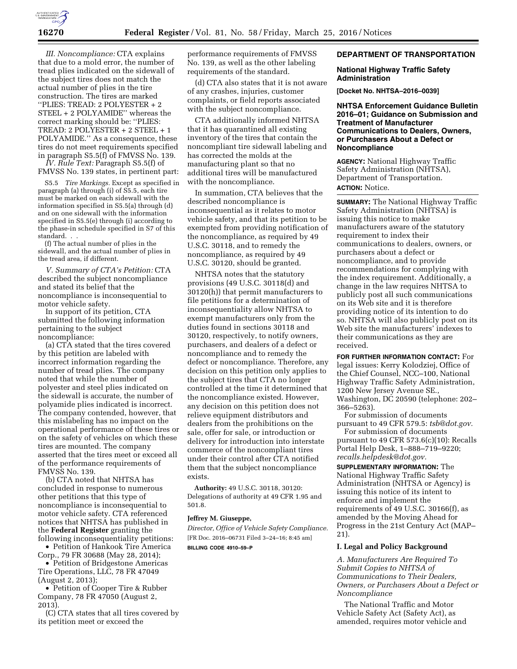

*III. Noncompliance:* CTA explains that due to a mold error, the number of tread plies indicated on the sidewall of the subject tires does not match the actual number of plies in the tire construction. The tires are marked ''PLIES: TREAD: 2 POLYESTER + 2 STEEL + 2 POLYAMIDE'' whereas the correct marking should be: ''PLIES: TREAD: 2 POLYESTER + 2 STEEL + 1 POLYAMIDE.'' As a consequence, these tires do not meet requirements specified in paragraph S5.5(f) of FMVSS No. 139.

*IV. Rule Text:* Paragraph S5.5(f) of FMVSS No. 139 states, in pertinent part:

S5.5 *Tire Markings.* Except as specified in paragraph (a) through (i) of S5.5, each tire must be marked on each sidewall with the information specified in S5.5(a) through (d) and on one sidewall with the information specified in S5.5(e) through (i) according to the phase-in schedule specified in S7 of this standard. . .

(f) The actual number of plies in the sidewall, and the actual number of plies in the tread area, if different.

*V. Summary of CTA's Petition:* CTA described the subject noncompliance and stated its belief that the noncompliance is inconsequential to motor vehicle safety.

In support of its petition, CTA submitted the following information pertaining to the subject noncompliance:

(a) CTA stated that the tires covered by this petition are labeled with incorrect information regarding the number of tread plies. The company noted that while the number of polyester and steel plies indicated on the sidewall is accurate, the number of polyamide plies indicated is incorrect. The company contended, however, that this mislabeling has no impact on the operational performance of these tires or on the safety of vehicles on which these tires are mounted. The company asserted that the tires meet or exceed all of the performance requirements of FMVSS No. 139.

(b) CTA noted that NHTSA has concluded in response to numerous other petitions that this type of noncompliance is inconsequential to motor vehicle safety. CTA referenced notices that NHTSA has published in the **Federal Register** granting the following inconsequentiality petitions:

• Petition of Hankook Tire America Corp., 79 FR 30688 (May 28, 2014);

• Petition of Bridgestone Americas Tire Operations, LLC, 78 FR 47049 (August 2, 2013);

• Petition of Cooper Tire & Rubber Company, 78 FR 47050 (August 2, 2013).

(C) CTA states that all tires covered by its petition meet or exceed the

performance requirements of FMVSS No. 139, as well as the other labeling requirements of the standard.

(d) CTA also states that it is not aware of any crashes, injuries, customer complaints, or field reports associated with the subject noncompliance.

CTA additionally informed NHTSA that it has quarantined all existing inventory of the tires that contain the noncompliant tire sidewall labeling and has corrected the molds at the manufacturing plant so that no additional tires will be manufactured with the noncompliance.

In summation, CTA believes that the described noncompliance is inconsequential as it relates to motor vehicle safety, and that its petition to be exempted from providing notification of the noncompliance, as required by 49 U.S.C. 30118, and to remedy the noncompliance, as required by 49 U.S.C. 30120, should be granted.

NHTSA notes that the statutory provisions (49 U.S.C. 30118(d) and 30120(h)) that permit manufacturers to file petitions for a determination of inconsequentiality allow NHTSA to exempt manufacturers only from the duties found in sections 30118 and 30120, respectively, to notify owners, purchasers, and dealers of a defect or noncompliance and to remedy the defect or noncompliance. Therefore, any decision on this petition only applies to the subject tires that CTA no longer controlled at the time it determined that the noncompliance existed. However, any decision on this petition does not relieve equipment distributors and dealers from the prohibitions on the sale, offer for sale, or introduction or delivery for introduction into interstate commerce of the noncompliant tires under their control after CTA notified them that the subject noncompliance exists.

**Authority:** 49 U.S.C. 30118, 30120: Delegations of authority at 49 CFR 1.95 and 501.8.

#### **Jeffrey M. Giuseppe,**

*Director, Office of Vehicle Safety Compliance.*  [FR Doc. 2016–06731 Filed 3–24–16; 8:45 am] **BILLING CODE 4910–59–P** 

# **DEPARTMENT OF TRANSPORTATION**

#### **National Highway Traffic Safety Administration**

**[Docket No. NHTSA–2016–0039]** 

**NHTSA Enforcement Guidance Bulletin 2016–01; Guidance on Submission and Treatment of Manufacturer Communications to Dealers, Owners, or Purchasers About a Defect or Noncompliance** 

**AGENCY:** National Highway Traffic Safety Administration (NHTSA), Department of Transportation. **ACTION:** Notice.

**SUMMARY:** The National Highway Traffic Safety Administration (NHTSA) is issuing this notice to make manufacturers aware of the statutory requirement to index their communications to dealers, owners, or purchasers about a defect or noncompliance, and to provide recommendations for complying with the index requirement. Additionally, a change in the law requires NHTSA to publicly post all such communications on its Web site and it is therefore providing notice of its intention to do so. NHTSA will also publicly post on its Web site the manufacturers' indexes to their communications as they are received.

**FOR FURTHER INFORMATION CONTACT:** For legal issues: Kerry Kolodziej, Office of the Chief Counsel, NCC–100, National Highway Traffic Safety Administration, 1200 New Jersey Avenue SE., Washington, DC 20590 (telephone: 202– 366–5263).

For submission of documents pursuant to 49 CFR 579.5: *[tsb@dot.gov.](mailto:tsb@dot.gov)* 

For submission of documents pursuant to 49 CFR 573.6(c)(10): Recalls Portal Help Desk, 1–888–719–9220; *[recalls.helpdesk@dot.gov.](mailto:recalls.helpdesk@dot.gov)* 

**SUPPLEMENTARY INFORMATION:** The National Highway Traffic Safety Administration (NHTSA or Agency) is issuing this notice of its intent to enforce and implement the requirements of 49 U.S.C. 30166(f), as amended by the Moving Ahead for Progress in the 21st Century Act (MAP– 21).

### **I. Legal and Policy Background**

*A. Manufacturers Are Required To Submit Copies to NHTSA of Communications to Their Dealers, Owners, or Purchasers About a Defect or Noncompliance* 

The National Traffic and Motor Vehicle Safety Act (Safety Act), as amended, requires motor vehicle and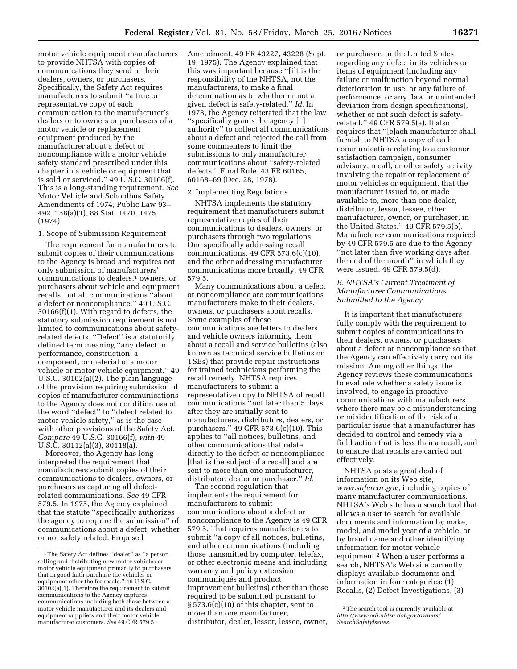motor vehicle equipment manufacturers to provide NHTSA with copies of communications they send to their dealers, owners, or purchasers. Specifically, the Safety Act requires manufacturers to submit ''a true or representative copy of each communication to the manufacturer's dealers or to owners or purchasers of a motor vehicle or replacement equipment produced by the manufacturer about a defect or noncompliance with a motor vehicle safety standard prescribed under this

chapter in a vehicle or equipment that is sold or serviced.'' 49 U.S.C. 30166(f). This is a long-standing requirement. *See*  Motor Vehicle and Schoolbus Safety Amendments of 1974, Public Law 93– 492, 158(a)(1), 88 Stat. 1470, 1475 (1974).

#### 1. Scope of Submission Requirement

The requirement for manufacturers to submit copies of their communications to the Agency is broad and requires not only submission of manufacturers' communications to dealers,<sup>1</sup> owners, or purchasers about vehicle and equipment recalls, but all communications ''about a defect or noncompliance.'' 49 U.S.C. 30166(f)(1). With regard to defects, the statutory submission requirement is not limited to communications about safetyrelated defects. ''Defect'' is a statutorily defined term meaning ''any defect in performance, construction, a component, or material of a motor vehicle or motor vehicle equipment.'' 49 U.S.C. 30102(a)(2). The plain language of the provision requiring submission of copies of manufacturer communications to the Agency does not condition use of the word ''defect'' to ''defect related to motor vehicle safety,'' as is the case with other provisions of the Safety Act. *Compare* 49 U.S.C. 30166(f), *with* 49 U.S.C. 30112(a)(3), 30118(a).

Moreover, the Agency has long interpreted the requirement that manufacturers submit copies of their communications to dealers, owners, or purchasers as capturing all defectrelated communications. *See* 49 CFR 579.5. In 1975, the Agency explained that the statute ''specifically authorizes the agency to require the submission'' of communications about a defect, whether or not safety related. Proposed

Amendment, 49 FR 43227, 43228 (Sept. 19, 1975). The Agency explained that this was important because ''[i]t is the responsibility of the NHTSA, not the manufacturers, to make a final determination as to whether or not a given defect is safety-related.'' *Id.* In 1978, the Agency reiterated that the law ''specifically grants the agency [ ] authority'' to collect all communications about a defect and rejected the call from some commenters to limit the submissions to only manufacturer communications about ''safety-related defects.'' Final Rule, 43 FR 60165, 60168–69 (Dec. 28, 1978).

#### 2. Implementing Regulations

NHTSA implements the statutory requirement that manufacturers submit representative copies of their communications to dealers, owners, or purchasers through two regulations: One specifically addressing recall communications, 49 CFR 573.6(c)(10), and the other addressing manufacturer communications more broadly, 49 CFR 579.5.

Many communications about a defect or noncompliance are communications manufacturers make to their dealers, owners, or purchasers about recalls. Some examples of these communications are letters to dealers and vehicle owners informing them about a recall and service bulletins (also known as technical service bulletins or TSBs) that provide repair instructions for trained technicians performing the recall remedy. NHTSA requires manufacturers to submit a representative copy to NHTSA of recall communications ''not later than 5 days after they are initially sent to manufacturers, distributors, dealers, or purchasers.'' 49 CFR 573.6(c)(10). This applies to ''all notices, bulletins, and other communications that relate directly to the defect or noncompliance [that is the subject of a recall] and are sent to more than one manufacturer, distributor, dealer or purchaser.'' *Id.* 

The second regulation that implements the requirement for manufacturers to submit communications about a defect or noncompliance to the Agency is 49 CFR 579.5. That requires manufacturers to submit ''a copy of all notices, bulletins, and other communications (including those transmitted by computer, telefax, or other electronic means and including warranty and policy extension communiqués and product improvement bulletins) other than those required to be submitted pursuant to § 573.6(c)(10) of this chapter, sent to more than one manufacturer, distributor, dealer, lessor, lessee, owner,

or purchaser, in the United States, regarding any defect in its vehicles or items of equipment (including any failure or malfunction beyond normal deterioration in use, or any failure of performance, or any flaw or unintended deviation from design specifications), whether or not such defect is safetyrelated.'' 49 CFR 579.5(a). It also requires that ''[e]ach manufacturer shall furnish to NHTSA a copy of each communication relating to a customer satisfaction campaign, consumer advisory, recall, or other safety activity involving the repair or replacement of motor vehicles or equipment, that the manufacturer issued to, or made available to, more than one dealer, distributor, lessor, lessee, other manufacturer, owner, or purchaser, in the United States.'' 49 CFR 579.5(b). Manufacturer communications required by 49 CFR 579.5 are due to the Agency ''not later than five working days after the end of the month'' in which they were issued. 49 CFR 579.5(d).

### *B. NHTSA's Current Treatment of Manufacturer Communications Submitted to the Agency*

It is important that manufacturers fully comply with the requirement to submit copies of communications to their dealers, owners, or purchasers about a defect or noncompliance so that the Agency can effectively carry out its mission. Among other things, the Agency reviews these communications to evaluate whether a safety issue is involved, to engage in proactive communications with manufacturers where there may be a misunderstanding or misidentification of the risk of a particular issue that a manufacturer has decided to control and remedy via a field action that is less than a recall, and to ensure that recalls are carried out effectively.

NHTSA posts a great deal of information on its Web site, *[www.safercar.gov](http://www.safercar.gov)*, including copies of many manufacturer communications. NHTSA's Web site has a search tool that allows a user to search for available documents and information by make, model, and model year of a vehicle, or by brand name and other identifying information for motor vehicle equipment.2 When a user performs a search, NHTSA's Web site currently displays available documents and information in four categories: (1) Recalls, (2) Defect Investigations, (3)

<sup>1</sup>The Safety Act defines ''dealer'' as ''a person selling and distributing new motor vehicles or motor vehicle equipment primarily to purchasers that in good faith purchase the vehicles or equipment other the for resale.'' 49 U.S.C. 30102(a)(1). Therefore the requirement to submit communications to the Agency captures communications including both those between a motor vehicle manufacturer and its dealers and equipment suppliers and their motor vehicle manufacturer customers. *See* 49 CFR 579.5.

<sup>&</sup>lt;sup>2</sup>The search tool is currently available at *[http://www-odi.nhtsa.dot.gov/owners/](http://www-odi.nhtsa.dot.gov/owners/SearchSafetyIssues) [SearchSafetyIssues.](http://www-odi.nhtsa.dot.gov/owners/SearchSafetyIssues)*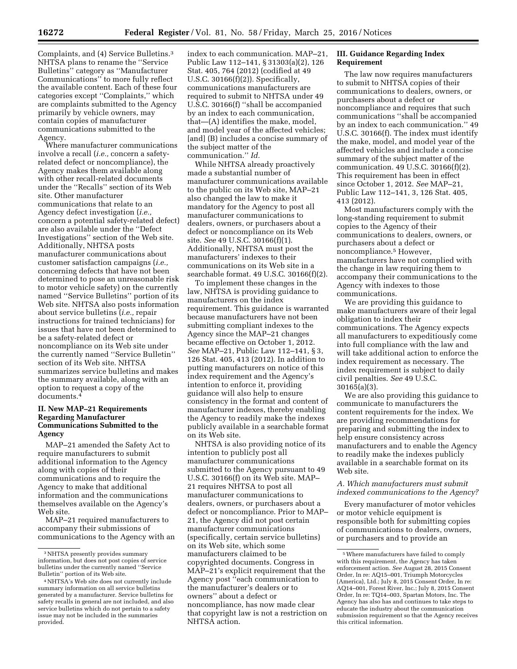Complaints, and (4) Service Bulletins.3 NHTSA plans to rename the ''Service Bulletins'' category as ''Manufacturer Communications'' to more fully reflect the available content. Each of these four categories except ''Complaints,'' which are complaints submitted to the Agency primarily by vehicle owners, may contain copies of manufacturer communications submitted to the Agency.

Where manufacturer communications involve a recall (*i.e.,* concern a safetyrelated defect or noncompliance), the Agency makes them available along with other recall-related documents under the ''Recalls'' section of its Web site. Other manufacturer communications that relate to an Agency defect investigation (*i.e.,*  concern a potential safety-related defect) are also available under the ''Defect Investigations'' section of the Web site. Additionally, NHTSA posts manufacturer communications about customer satisfaction campaigns (*i.e.,*  concerning defects that have not been determined to pose an unreasonable risk to motor vehicle safety) on the currently named ''Service Bulletins'' portion of its Web site. NHTSA also posts information about service bulletins (*i.e.,* repair instructions for trained technicians) for issues that have not been determined to be a safety-related defect or noncompliance on its Web site under the currently named ''Service Bulletin'' section of its Web site. NHTSA summarizes service bulletins and makes the summary available, along with an option to request a copy of the documents.4

### **II. New MAP–21 Requirements Regarding Manufacturer Communications Submitted to the Agency**

MAP–21 amended the Safety Act to require manufacturers to submit additional information to the Agency along with copies of their communications and to require the Agency to make that additional information and the communications themselves available on the Agency's Web site.

MAP–21 required manufacturers to accompany their submissions of communications to the Agency with an

index to each communication. MAP–21, Public Law 112–141, § 31303(a)(2), 126 Stat. 405, 764 (2012) (codified at 49 U.S.C. 30166(f)(2)). Specifically, communications manufacturers are required to submit to NHTSA under 49 U.S.C. 30166(f) ''shall be accompanied by an index to each communication, that—(A) identifies the make, model, and model year of the affected vehicles; [and] (B) includes a concise summary of the subject matter of the communication.'' *Id.* 

While NHTSA already proactively made a substantial number of manufacturer communications available to the public on its Web site, MAP–21 also changed the law to make it mandatory for the Agency to post all manufacturer communications to dealers, owners, or purchasers about a defect or noncompliance on its Web site. *See* 49 U.S.C. 30166(f)(1). Additionally, NHTSA must post the manufacturers' indexes to their communications on its Web site in a searchable format. 49 U.S.C. 30166(f)(2).

To implement these changes in the law, NHTSA is providing guidance to manufacturers on the index requirement. This guidance is warranted because manufacturers have not been submitting compliant indexes to the Agency since the MAP–21 changes became effective on October 1, 2012. *See* MAP–21, Public Law 112–141, § 3, 126 Stat. 405, 413 (2012). In addition to putting manufacturers on notice of this index requirement and the Agency's intention to enforce it, providing guidance will also help to ensure consistency in the format and content of manufacturer indexes, thereby enabling the Agency to readily make the indexes publicly available in a searchable format on its Web site.

NHTSA is also providing notice of its intention to publicly post all manufacturer communications submitted to the Agency pursuant to 49 U.S.C. 30166(f) on its Web site. MAP– 21 requires NHTSA to post all manufacturer communications to dealers, owners, or purchasers about a defect or noncompliance. Prior to MAP– 21, the Agency did not post certain manufacturer communications (specifically, certain service bulletins) on its Web site, which some manufacturers claimed to be copyrighted documents. Congress in MAP–21's explicit requirement that the Agency post ''each communication to the manufacturer's dealers or to owners'' about a defect or noncompliance, has now made clear that copyright law is not a restriction on NHTSA action.

### **III. Guidance Regarding Index Requirement**

The law now requires manufacturers to submit to NHTSA copies of their communications to dealers, owners, or purchasers about a defect or noncompliance and requires that such communications ''shall be accompanied by an index to each communication.'' 49 U.S.C. 30166(f). The index must identify the make, model, and model year of the affected vehicles and include a concise summary of the subject matter of the communication. 49 U.S.C. 30166(f)(2). This requirement has been in effect since October 1, 2012. *See* MAP–21, Public Law 112–141, 3, 126 Stat. 405, 413 (2012).

Most manufacturers comply with the long-standing requirement to submit copies to the Agency of their communications to dealers, owners, or purchasers about a defect or noncompliance.5 However, manufacturers have not complied with the change in law requiring them to accompany their communications to the Agency with indexes to those communications.

We are providing this guidance to make manufacturers aware of their legal obligation to index their communications. The Agency expects all manufacturers to expeditiously come into full compliance with the law and will take additional action to enforce the index requirement as necessary. The index requirement is subject to daily civil penalties. *See* 49 U.S.C. 30165(a)(3).

We are also providing this guidance to communicate to manufacturers the content requirements for the index. We are providing recommendations for preparing and submitting the index to help ensure consistency across manufacturers and to enable the Agency to readily make the indexes publicly available in a searchable format on its Web site.

### *A. Which manufacturers must submit indexed communications to the Agency?*

Every manufacturer of motor vehicles or motor vehicle equipment is responsible both for submitting copies of communications to dealers, owners, or purchasers and to provide an

<sup>3</sup>NHTSA presently provides summary information, but does not post copies of service bulletins under the currently named ''Service Bulletin'' portion of its Web site.

<sup>4</sup>NHTSA's Web site does not currently include summary information on all service bulletins generated by a manufacturer. Service bulletins for safety recalls in general are not included, and also service bulletins which do not pertain to a safety issue may not be included in the summaries provided.

<sup>5</sup>Where manufacturers have failed to comply with this requirement, the Agency has taken enforcement action. *See* August 28, 2015 Consent Order, In re: AQ15–001, Triumph Motorcycles (America), Ltd.; July 8, 2015 Consent Order, In re: AQ14–001, Forest River, Inc.; July 8, 2015 Consent Order, In re: TQ14–003, Spartan Motors, Inc. The Agency has also has and continues to take steps to educate the industry about the communication submission requirement so that the Agency receives this critical information.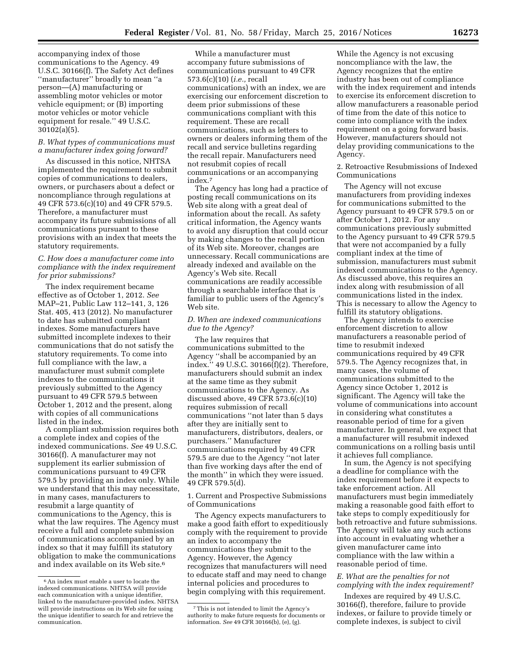accompanying index of those communications to the Agency. 49 U.S.C. 30166(f). The Safety Act defines ''manufacturer'' broadly to mean ''a person—(A) manufacturing or assembling motor vehicles or motor vehicle equipment; or (B) importing motor vehicles or motor vehicle equipment for resale.'' 49 U.S.C. 30102(a)(5).

#### *B. What types of communications must a manufacturer index going forward?*

As discussed in this notice, NHTSA implemented the requirement to submit copies of communications to dealers, owners, or purchasers about a defect or noncompliance through regulations at 49 CFR 573.6(c)(10) and 49 CFR 579.5. Therefore, a manufacturer must accompany its future submissions of all communications pursuant to these provisions with an index that meets the statutory requirements.

## *C. How does a manufacturer come into compliance with the index requirement for prior submissions?*

The index requirement became effective as of October 1, 2012. *See*  MAP–21, Public Law 112–141, 3, 126 Stat. 405, 413 (2012). No manufacturer to date has submitted compliant indexes. Some manufacturers have submitted incomplete indexes to their communications that do not satisfy the statutory requirements. To come into full compliance with the law, a manufacturer must submit complete indexes to the communications it previously submitted to the Agency pursuant to 49 CFR 579.5 between October 1, 2012 and the present, along with copies of all communications listed in the index.

A compliant submission requires both a complete index and copies of the indexed communications. *See* 49 U.S.C. 30166(f). A manufacturer may not supplement its earlier submission of communications pursuant to 49 CFR 579.5 by providing an index only. While we understand that this may necessitate, in many cases, manufacturers to resubmit a large quantity of communications to the Agency, this is what the law requires. The Agency must receive a full and complete submission of communications accompanied by an index so that it may fulfill its statutory obligation to make the communications and index available on its Web site.<sup>6</sup>

While a manufacturer must accompany future submissions of communications pursuant to 49 CFR 573.6(c)(10) (*i.e.,* recall communications) with an index, we are exercising our enforcement discretion to deem prior submissions of these communications compliant with this requirement. These are recall communications, such as letters to owners or dealers informing them of the recall and service bulletins regarding the recall repair. Manufacturers need not resubmit copies of recall communications or an accompanying index.7

The Agency has long had a practice of posting recall communications on its Web site along with a great deal of information about the recall. As safety critical information, the Agency wants to avoid any disruption that could occur by making changes to the recall portion of its Web site. Moreover, changes are unnecessary. Recall communications are already indexed and available on the Agency's Web site. Recall communications are readily accessible through a searchable interface that is familiar to public users of the Agency's Web site.

### *D. When are indexed communications due to the Agency?*

The law requires that communications submitted to the Agency ''shall be accompanied by an index.'' 49 U.S.C. 30166(f)(2). Therefore, manufacturers should submit an index at the same time as they submit communications to the Agency. As discussed above, 49 CFR 573.6(c)(10) requires submission of recall communications ''not later than 5 days after they are initially sent to manufacturers, distributors, dealers, or purchasers.'' Manufacturer communications required by 49 CFR 579.5 are due to the Agency ''not later than five working days after the end of the month'' in which they were issued. 49 CFR 579.5(d).

1. Current and Prospective Submissions of Communications

The Agency expects manufacturers to make a good faith effort to expeditiously comply with the requirement to provide an index to accompany the communications they submit to the Agency. However, the Agency recognizes that manufacturers will need to educate staff and may need to change internal policies and procedures to begin complying with this requirement.

While the Agency is not excusing noncompliance with the law, the Agency recognizes that the entire industry has been out of compliance with the index requirement and intends to exercise its enforcement discretion to allow manufacturers a reasonable period of time from the date of this notice to come into compliance with the index requirement on a going forward basis. However, manufacturers should not delay providing communications to the Agency.

2. Retroactive Resubmissions of Indexed Communications

The Agency will not excuse manufacturers from providing indexes for communications submitted to the Agency pursuant to 49 CFR 579.5 on or after October 1, 2012. For any communications previously submitted to the Agency pursuant to 49 CFR 579.5 that were not accompanied by a fully compliant index at the time of submission, manufacturers must submit indexed communications to the Agency. As discussed above, this requires an index along with resubmission of all communications listed in the index. This is necessary to allow the Agency to fulfill its statutory obligations.

The Agency intends to exercise enforcement discretion to allow manufacturers a reasonable period of time to resubmit indexed communications required by 49 CFR 579.5. The Agency recognizes that, in many cases, the volume of communications submitted to the Agency since October 1, 2012 is significant. The Agency will take the volume of communications into account in considering what constitutes a reasonable period of time for a given manufacturer. In general, we expect that a manufacturer will resubmit indexed communications on a rolling basis until it achieves full compliance.

In sum, the Agency is not specifying a deadline for compliance with the index requirement before it expects to take enforcement action. All manufacturers must begin immediately making a reasonable good faith effort to take steps to comply expeditiously for both retroactive and future submissions. The Agency will take any such actions into account in evaluating whether a given manufacturer came into compliance with the law within a reasonable period of time.

# *E. What are the penalties for not complying with the index requirement?*

Indexes are required by 49 U.S.C. 30166(f), therefore, failure to provide indexes, or failure to provide timely or complete indexes, is subject to civil

<sup>6</sup>An index must enable a user to locate the indexed communications. NHTSA will provide each communication with a unique identifier, linked to the manufacturer-provided index. NHTSA will provide instructions on its Web site for using the unique identifier to search for and retrieve the communication.

<sup>7</sup>This is not intended to limit the Agency's authority to make future requests for documents or information. *See* 49 CFR 30166(b), (e), (g).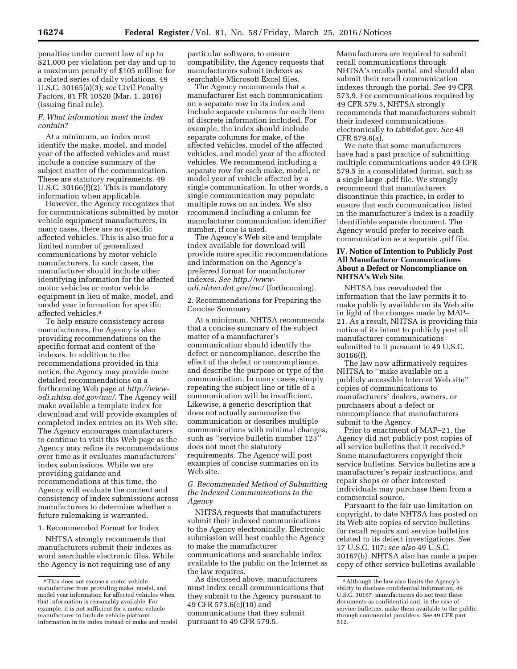penalties under current law of up to \$21,000 per violation per day and up to a maximum penalty of \$105 million for a related series of daily violations. 49 U.S.C. 30165(a)(3); *see* Civil Penalty Factors, 81 FR 10520 (Mar. 1, 2016) (issuing final rule).

#### *F. What information must the index contain?*

At a minimum, an index must identify the make, model, and model year of the affected vehicles and must include a concise summary of the subject matter of the communication. These are statutory requirements. 49 U.S.C. 30166(f)(2). This is mandatory information when applicable.

However, the Agency recognizes that for communications submitted by motor vehicle equipment manufacturers, in many cases, there are no specific affected vehicles. This is also true for a limited number of generalized communications by motor vehicle manufacturers. In such cases, the manufacturer should include other identifying information for the affected motor vehicles or motor vehicle equipment in lieu of make, model, and model year information for specific affected vehicles.8

To help ensure consistency across manufacturers, the Agency is also providing recommendations on the specific format and content of the indexes. In addition to the recommendations provided in this notice, the Agency may provide more detailed recommendations on a forthcoming Web page at *[http://www](http://www-odi.nhtsa.dot.gov/mc/)[odi.nhtsa.dot.gov/mc/](http://www-odi.nhtsa.dot.gov/mc/)*. The Agency will make available a template index for download and will provide examples of completed index entries on its Web site. The Agency encourages manufacturers to continue to visit this Web page as the Agency may refine its recommendations over time as it evaluates manufacturers' index submissions. While we are providing guidance and recommendations at this time, the Agency will evaluate the content and consistency of index submissions across manufacturers to determine whether a future rulemaking is warranted.

# 1. Recommended Format for Index

NHTSA strongly recommends that manufacturers submit their indexes as word searchable electronic files. While the Agency is not requiring use of any

particular software, to ensure compatibility, the Agency requests that manufacturers submit indexes as searchable Microsoft Excel files.

The Agency recommends that a manufacturer list each communication on a separate row in its index and include separate columns for each item of discrete information included. For example, the index should include separate columns for make, of the affected vehicles, model of the affected vehicles, and model year of the affected vehicles. We recommend including a separate row for each make, model, or model year of vehicle affected by a single communication. In other words, a single communication may populate multiple rows on an index. We also recommend including a column for manufacturer communication identifier number, if one is used.

The Agency's Web site and template index available for download will provide more specific recommendations and information on the Agency's preferred format for manufacturer indexes. *See [http://www](http://www-odi.nhtsa.dot.gov/mc/)[odi.nhtsa.dot.gov/mc/](http://www-odi.nhtsa.dot.gov/mc/)* (forthcoming).

2. Recommendations for Preparing the Concise Summary

At a minimum, NHTSA recommends that a concise summary of the subject matter of a manufacturer's communication should identify the defect or noncompliance, describe the effect of the defect or noncompliance, and describe the purpose or type of the communication. In many cases, simply repeating the subject line or title of a communication will be insufficient. Likewise, a generic description that does not actually summarize the communication or describes multiple communications with minimal changes, such as ''service bulletin number 123'' does not meet the statutory requirements. The Agency will post examples of concise summaries on its Web site.

*G. Recommended Method of Submitting the Indexed Communications to the Agency* 

NHTSA requests that manufacturers submit their indexed communications to the Agency electronically. Electronic submission will best enable the Agency to make the manufacturer communications and searchable index available to the public on the Internet as the law requires.

As discussed above, manufacturers must index recall communications that they submit to the Agency pursuant to 49 CFR 573.6(c)(10) and communications that they submit pursuant to 49 CFR 579.5.

Manufacturers are required to submit recall communications through NHTSA's recalls portal and should also submit their recall communication indexes through the portal. *See* 49 CFR 573.9. For communications required by 49 CFR 579.5, NHTSA strongly recommends that manufacturers submit their indexed communications electronically to *[tsb@dot.gov](mailto:tsb@dot.gov)*. *See* 49 CFR 579.6(a).

We note that some manufacturers have had a past practice of submitting multiple communications under 49 CFR 579.5 in a consolidated format, such as a single large .pdf file. We strongly recommend that manufacturers discontinue this practice, in order to ensure that each communication listed in the manufacturer's index is a readily identifiable separate document. The Agency would prefer to receive each communication as a separate .pdf file.

## **IV. Notice of Intention to Publicly Post All Manufacturer Communications About a Defect or Noncompliance on NHTSA's Web Site**

NHTSA has reevaluated the information that the law permits it to make publicly available on its Web site in light of the changes made by MAP– 21. As a result, NHTSA is providing this notice of its intent to publicly post all manufacturer communications submitted to it pursuant to 49 U.S.C. 30166(f).

The law now affirmatively requires NHTSA to ''make available on a publicly accessible Internet Web site'' copies of communications to manufacturers' dealers, owners, or purchasers about a defect or noncompliance that manufacturers submit to the Agency.

Prior to enactment of MAP–21, the Agency did not publicly post copies of all service bulletins that it received.9 Some manufacturers copyright their service bulletins. Service bulletins are a manufacturer's repair instructions, and repair shops or other interested individuals may purchase them from a commercial source.

Pursuant to the fair use limitation on copyright, to date NHTSA has posted on its Web site copies of service bulletins for recall repairs and service bulletins related to its defect investigations. *See*  17 U.S.C. 107; *see also* 49 U.S.C. 30167(b). NHTSA also has made a paper copy of other service bulletins available

<sup>8</sup>This does not excuse a motor vehicle manufacturer from providing make, model, and model year information for affected vehicles when that information is reasonably available. For example, it is not sufficient for a motor vehicle manufacturer to include vehicle platform information in its index instead of make and model.

<sup>9</sup>Although the law also limits the Agency's ability to disclose confidential information, 49 U.S.C. 30167, manufacturers do not treat these documents as confidential and, in the case of service bulletins, make them available to the public through commercial providers. *See* 49 CFR part 512.